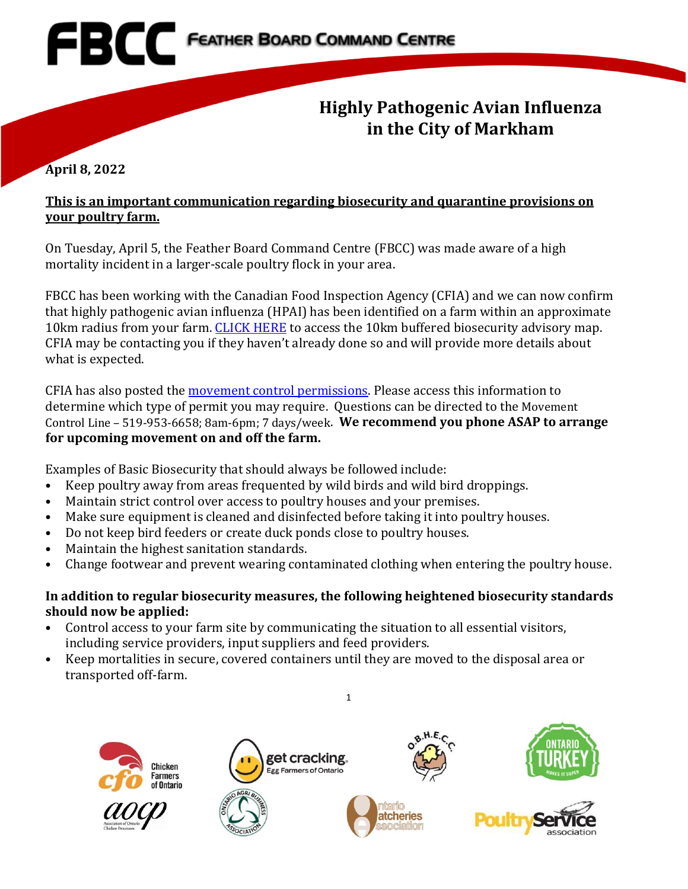

## **April 8, 2022**

## **This is an important communication regarding biosecurity and quarantine provisions on your poultry farm.**

On Tuesday, April 5, the Feather Board Command Centre (FBCC) was made aware of a high mortality incident in a larger-scale poultry flock in your area.

FBCC has been working with the Canadian Food Inspection Agency (CFIA) and we can now confirm that highly pathogenic avian influenza (HPAI) has been identified on a farm within an approximate 10km radius from your farm. [CLICK HERE](https://www.fbcc.ca/suspect-hpai/public-map) to access the 10km buffered biosecurity advisory map. CFIA may be contacting you if they haven't already done so and will provide more details about what is expected.

CFIA has also posted the [movement control permissions.](https://inspection.canada.ca/animal-health/terrestrial-animals/diseases/reportable/avian-influenza/detection-of-highly-pathogenic-avian-influenza-h5n/movement-control-permissions/eng/1648871137667/1648871138011) Please access this information to determine which type of permit you may require. Questions can be directed to the Movement Control Line – 519-953-6658; 8am-6pm; 7 days/week. **We recommend you phone ASAP to arrange for upcoming movement on and off the farm.**

Examples of Basic Biosecurity that should always be followed include:

- Keep poultry away from areas frequented by wild birds and wild bird droppings.
- Maintain strict control over access to poultry houses and your premises.
- Make sure equipment is cleaned and disinfected before taking it into poultry houses.
- Do not keep bird feeders or create duck ponds close to poultry houses.
- Maintain the highest sanitation standards.
- Change footwear and prevent wearing contaminated clothing when entering the poultry house.

## **In addition to regular biosecurity measures, the following heightened biosecurity standards should now be applied:**

1

- Control access to your farm site by communicating the situation to all essential visitors, including service providers, input suppliers and feed providers.
- Keep mortalities in secure, covered containers until they are moved to the disposal area or transported off-farm.